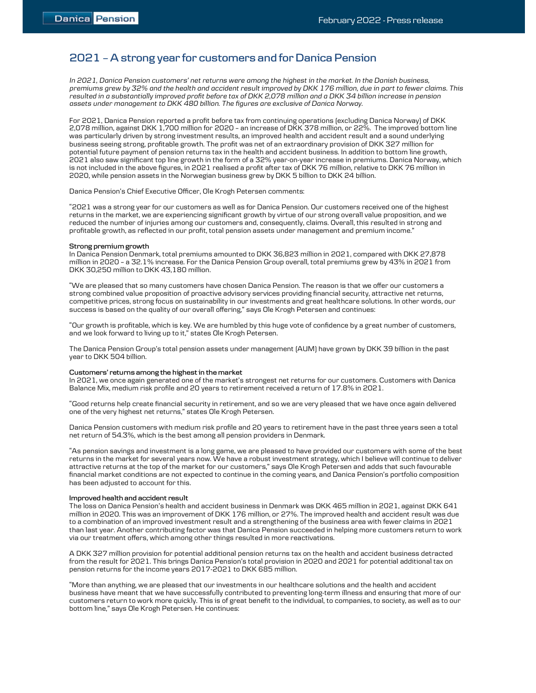# 2021 – A strong year for customers and for Danica Pension

In 2021, Danica Pension customers' net returns were among the highest in the market. In the Danish business, premiums grew by 32% and the health and accident result improved by DKK 176 million, due in part to fewer claims. This resulted in a substantially improved profit before tax of DKK 2,078 million and a DKK 34 billion increase in pension assets under management to DKK 480 billion. The figures are exclusive of Danica Norway.

For 2021, Danica Pension reported a profit before tax from continuing operations (excluding Danica Norway) of DKK 2,078 million, against DKK 1,700 million for 2020 – an increase of DKK 378 million, or 22%. The improved bottom line was particularly driven by strong investment results, an improved health and accident result and a sound underlying business seeing strong, profitable growth. The profit was net of an extraordinary provision of DKK 327 million for potential future payment of pension returns tax in the health and accident business. In addition to bottom line growth, 2021 also saw significant top line growth in the form of a 32% year-on-year increase in premiums. Danica Norway, which is not included in the above figures, in 2021 realised a profit after tax of DKK 76 million, relative to DKK 76 million in 2020, while pension assets in the Norwegian business grew by DKK 5 billion to DKK 24 billion.

Danica Pension's Chief Executive Officer, Ole Krogh Petersen comments:

"2021 was a strong year for our customers as well as for Danica Pension. Our customers received one of the highest returns in the market, we are experiencing significant growth by virtue of our strong overall value proposition, and we reduced the number of injuries among our customers and, consequently, claims. Overall, this resulted in strong and profitable growth, as reflected in our profit, total pension assets under management and premium income."

## Strong premium growth

In Danica Pension Denmark, total premiums amounted to DKK 36,823 million in 2021, compared with DKK 27,878 million in 2020 – a 32.1% increase. For the Danica Pension Group overall, total premiums grew by 43% in 2021 from DKK 30,250 million to DKK 43,180 million.

"We are pleased that so many customers have chosen Danica Pension. The reason is that we offer our customers a strong combined value proposition of proactive advisory services providing financial security, attractive net returns, competitive prices, strong focus on sustainability in our investments and great healthcare solutions. In other words, our success is based on the quality of our overall offering," says Ole Krogh Petersen and continues:

"Our growth is profitable, which is key. We are humbled by this huge vote of confidence by a great number of customers, and we look forward to living up to it," states Ole Krogh Petersen.

The Danica Pension Group's total pension assets under management (AUM) have grown by DKK 39 billion in the past year to DKK 504 billion.

## Customers' returns among the highest in the market

In 2021, we once again generated one of the market's strongest net returns for our customers. Customers with Danica Balance Mix, medium risk profile and 20 years to retirement received a return of 17.8% in 2021.

"Good returns help create financial security in retirement, and so we are very pleased that we have once again delivered one of the very highest net returns," states Ole Krogh Petersen.

Danica Pension customers with medium risk profile and 20 years to retirement have in the past three years seen a total net return of 54.3%, which is the best among all pension providers in Denmark.

"As pension savings and investment is a long game, we are pleased to have provided our customers with some of the best returns in the market for several years now. We have a robust investment strategy, which I believe will continue to deliver attractive returns at the top of the market for our customers," says Ole Krogh Petersen and adds that such favourable financial market conditions are not expected to continue in the coming years, and Danica Pension's portfolio composition has been adjusted to account for this.

#### Improved health and accident result

The loss on Danica Pension's health and accident business in Denmark was DKK 465 million in 2021, against DKK 641 million in 2020. This was an improvement of DKK 176 million, or 27%. The improved health and accident result was due to a combination of an improved investment result and a strengthening of the business area with fewer claims in 2021 than last year. Another contributing factor was that Danica Pension succeeded in helping more customers return to work via our treatment offers, which among other things resulted in more reactivations.

A DKK 327 million provision for potential additional pension returns tax on the health and accident business detracted from the result for 2021. This brings Danica Pension's total provision in 2020 and 2021 for potential additional tax on pension returns for the income years 2017-2021 to DKK 685 million.

"More than anything, we are pleased that our investments in our healthcare solutions and the health and accident business have meant that we have successfully contributed to preventing long-term illness and ensuring that more of our customers return to work more quickly. This is of great benefit to the individual, to companies, to society, as well as to our bottom line," says Ole Krogh Petersen. He continues: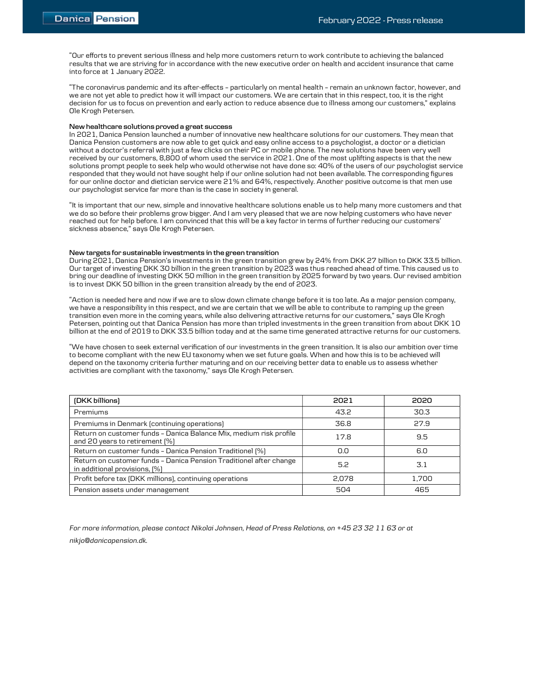"Our efforts to prevent serious illness and help more customers return to work contribute to achieving the balanced results that we are striving for in accordance with the new executive order on health and accident insurance that came into force at 1 January 2022.

"The coronavirus pandemic and its after-effects – particularly on mental health – remain an unknown factor, however, and we are not yet able to predict how it will impact our customers. We are certain that in this respect, too, it is the right decision for us to focus on prevention and early action to reduce absence due to illness among our customers," explains Ole Krogh Petersen.

## New healthcare solutions proved a great success

In 2021, Danica Pension launched a number of innovative new healthcare solutions for our customers. They mean that Danica Pension customers are now able to get quick and easy online access to a psychologist, a doctor or a dietician without a doctor's referral with just a few clicks on their PC or mobile phone. The new solutions have been very well received by our customers, 8,800 of whom used the service in 2021. One of the most uplifting aspects is that the new solutions prompt people to seek help who would otherwise not have done so: 40% of the users of our psychologist service responded that they would not have sought help if our online solution had not been available. The corresponding figures for our online doctor and dietician service were 21% and 64%, respectively. Another positive outcome is that men use our psychologist service far more than is the case in society in general.

"It is important that our new, simple and innovative healthcare solutions enable us to help many more customers and that we do so before their problems grow bigger. And I am very pleased that we are now helping customers who have never reached out for help before. I am convinced that this will be a key factor in terms of further reducing our customers' sickness absence," says Ole Krogh Petersen.

## New targets for sustainable investments in the green transition

During 2021, Danica Pension's investments in the green transition grew by 24% from DKK 27 billion to DKK 33.5 billion. Our target of investing DKK 30 billion in the green transition by 2023 was thus reached ahead of time. This caused us to bring our deadline of investing DKK 50 million in the green transition by 2025 forward by two years. Our revised ambition is to invest DKK 50 billion in the green transition already by the end of 2023.

"Action is needed here and now if we are to slow down climate change before it is too late. As a major pension company, we have a responsibility in this respect, and we are certain that we will be able to contribute to ramping up the green transition even more in the coming years, while also delivering attractive returns for our customers," says Ole Krogh Petersen, pointing out that Danica Pension has more than tripled investments in the green transition from about DKK 10 billion at the end of 2019 to DKK 33.5 billion today and at the same time generated attractive returns for our customers.

"We have chosen to seek external verification of our investments in the green transition. It is also our ambition over time to become compliant with the new EU taxonomy when we set future goals. When and how this is to be achieved will depend on the taxonomy criteria further maturing and on our receiving better data to enable us to assess whether activities are compliant with the taxonomy," says Ole Krogh Petersen.

| (DKK billions)                                                                                       | 2021  | 2020  |
|------------------------------------------------------------------------------------------------------|-------|-------|
| Premiums                                                                                             | 43.2  | 30.3  |
| Premiums in Denmark (continuing operations)                                                          | 36.8  | 27.9  |
| Return on customer funds - Danica Balance Mix, medium risk profile<br>and 20 years to retirement [%] | 17.8  | 9.5   |
| Return on customer funds - Danica Pension Traditionel [%]                                            | 0.0   | 6.0   |
| Return on customer funds - Danica Pension Traditionel after change<br>in additional provisions, [%]  | 5.2   | 3.1   |
| Profit before tax (DKK millions), continuing operations                                              | 2.078 | 1.700 |
| Pension assets under management                                                                      | 504   | 465   |

For more information, please contact Nikolai Johnsen, Head of Press Relations, on +45 23 32 11 63 or at nikjo@danicapension.dk.